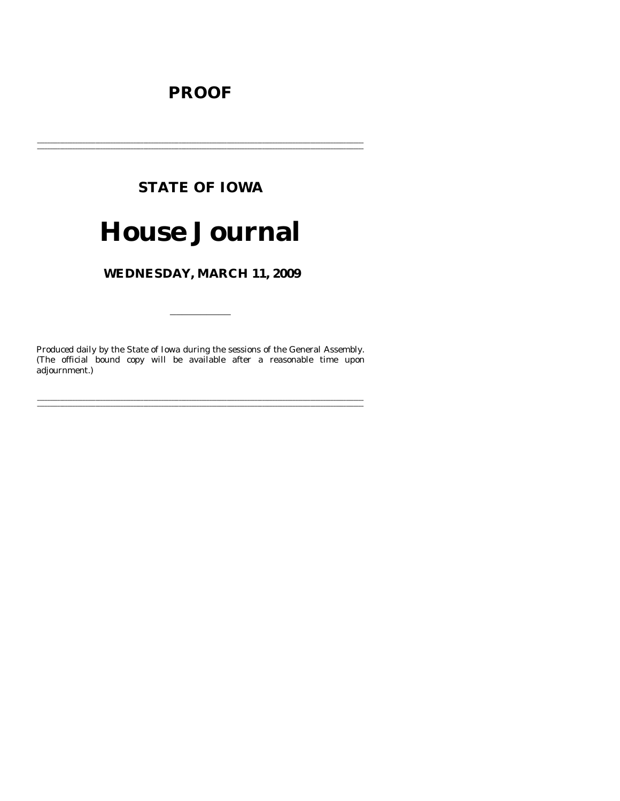# **PROOF**

# **STATE OF IOWA**

# **House Journal**

# WEDNESDAY, MARCH 11, 2009

Produced daily by the State of Iowa during the sessions of the General Assembly. (The official bound copy will be available after a reasonable time upon adjournment.)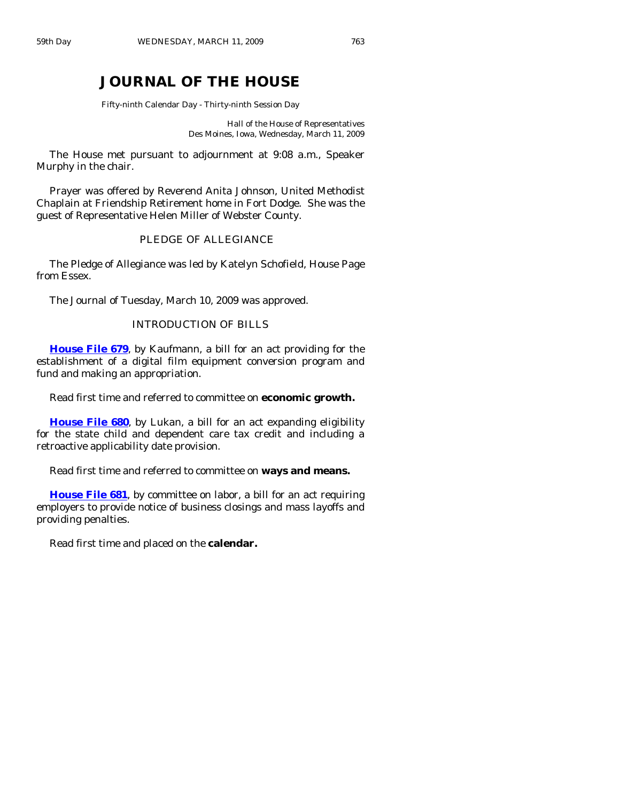# **JOURNAL OF THE HOUSE**

Fifty-ninth Calendar Day - Thirty-ninth Session Day

Hall of the House of Representatives Des Moines, Iowa, Wednesday, March 11, 2009

 The House met pursuant to adjournment at 9:08 a.m., Speaker Murphy in the chair.

 Prayer was offered by Reverend Anita Johnson, United Methodist Chaplain at Friendship Retirement home in Fort Dodge. She was the guest of Representative Helen Miller of Webster County.

#### PLEDGE OF ALLEGIANCE

 The Pledge of Allegiance was led by Katelyn Schofield, House Page from Essex.

The Journal of Tuesday, March 10, 2009 was approved.

## INTRODUCTION OF BILLS

**[House File 679](http://coolice.legis.state.ia.us/Cool-ICE/default.asp?Category=billinfo&Service=Billbook&frame=1&GA=83&hbill=HF679)**, by Kaufmann, a bill for an act providing for the establishment of a digital film equipment conversion program and fund and making an appropriation.

Read first time and referred to committee on **economic growth.** 

**[House File 680](http://coolice.legis.state.ia.us/Cool-ICE/default.asp?Category=billinfo&Service=Billbook&frame=1&GA=83&hbill=HF680)**, by Lukan, a bill for an act expanding eligibility for the state child and dependent care tax credit and including a retroactive applicability date provision.

Read first time and referred to committee on **ways and means.** 

**[House File 681](http://coolice.legis.state.ia.us/Cool-ICE/default.asp?Category=billinfo&Service=Billbook&frame=1&GA=83&hbill=HF681)**, by committee on labor, a bill for an act requiring employers to provide notice of business closings and mass layoffs and providing penalties.

Read first time and placed on the **calendar.**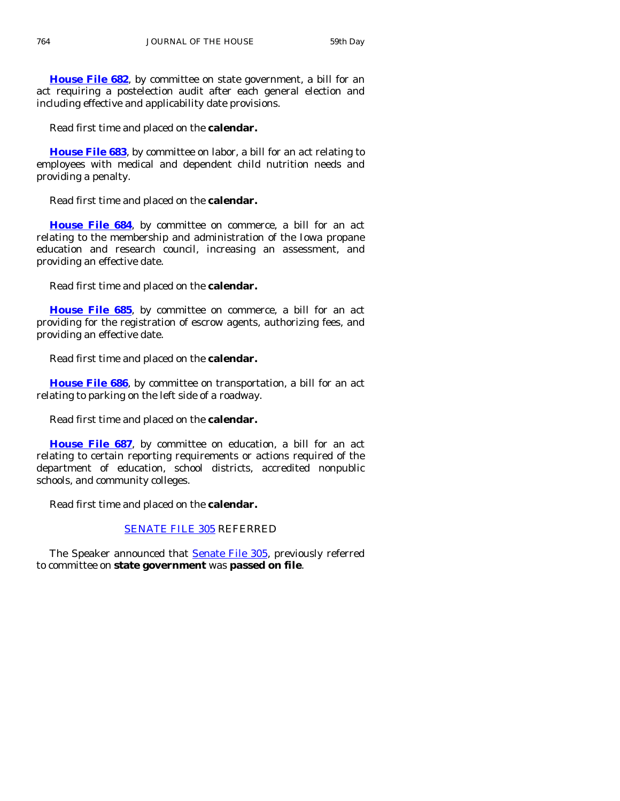**[House File 682](http://coolice.legis.state.ia.us/Cool-ICE/default.asp?Category=billinfo&Service=Billbook&frame=1&GA=83&hbill=HF682)**, by committee on state government, a bill for an act requiring a postelection audit after each general election and including effective and applicability date provisions.

Read first time and placed on the **calendar.** 

**[House File 683](http://coolice.legis.state.ia.us/Cool-ICE/default.asp?Category=billinfo&Service=Billbook&frame=1&GA=83&hbill=HF683)**, by committee on labor, a bill for an act relating to employees with medical and dependent child nutrition needs and providing a penalty.

Read first time and placed on the **calendar.** 

**[House File 684](http://coolice.legis.state.ia.us/Cool-ICE/default.asp?Category=billinfo&Service=Billbook&frame=1&GA=83&hbill=HF684)**, by committee on commerce, a bill for an act relating to the membership and administration of the Iowa propane education and research council, increasing an assessment, and providing an effective date.

Read first time and placed on the **calendar.** 

**[House File 685](http://coolice.legis.state.ia.us/Cool-ICE/default.asp?Category=billinfo&Service=Billbook&frame=1&GA=83&hbill=HF685)**, by committee on commerce, a bill for an act providing for the registration of escrow agents, authorizing fees, and providing an effective date.

Read first time and placed on the **calendar.** 

**[House File 686](http://coolice.legis.state.ia.us/Cool-ICE/default.asp?Category=billinfo&Service=Billbook&frame=1&GA=83&hbill=HF686)**, by committee on transportation, a bill for an act relating to parking on the left side of a roadway.

Read first time and placed on the **calendar.** 

**[House File 687](http://coolice.legis.state.ia.us/Cool-ICE/default.asp?Category=billinfo&Service=Billbook&frame=1&GA=83&hbill=HF687)**, by committee on education, a bill for an act relating to certain reporting requirements or actions required of the department of education, school districts, accredited nonpublic schools, and community colleges.

Read first time and placed on the **calendar.** 

#### [SENATE FILE 305](http://coolice.legis.state.ia.us/Cool-ICE/default.asp?Category=billinfo&Service=Billbook&frame=1&GA=83&hbill=SF305) REFERRED

The Speaker announced that **[Senate File 305](http://coolice.legis.state.ia.us/Cool-ICE/default.asp?Category=billinfo&Service=Billbook&frame=1&GA=83&hbill=SF305)**, previously referred to committee on **state government** was **passed on file**.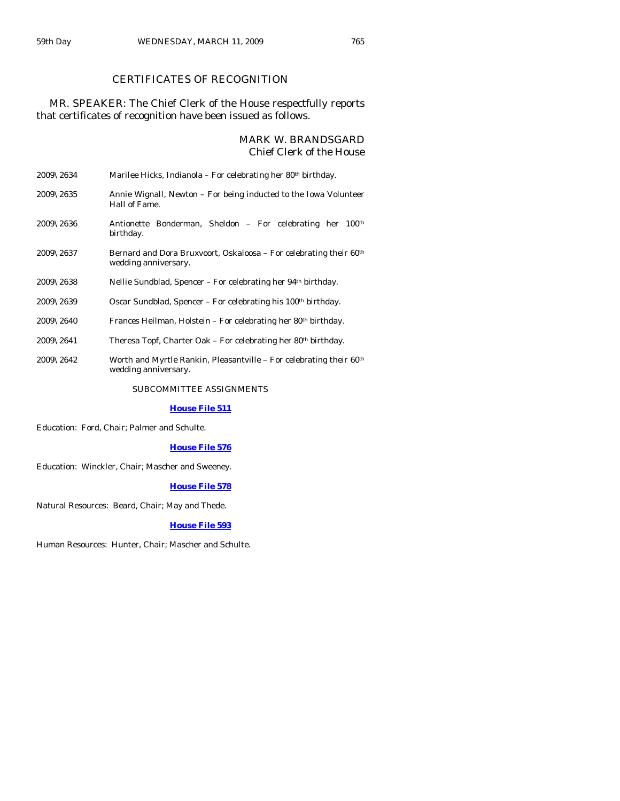# CERTIFICATES OF RECOGNITION

## MR. SPEAKER: The Chief Clerk of the House respectfully reports that certificates of recognition have been issued as follows.

#### MARK W. BRANDSGARD Chief Clerk of the House

| 2009\2634             | Marilee Hicks, Indianola – For celebrating her 80th birthday.                                           |  |  |  |
|-----------------------|---------------------------------------------------------------------------------------------------------|--|--|--|
| $2009\backslash 2635$ | Annie Wignall, Newton – For being inducted to the Iowa Volunteer<br>Hall of Fame.                       |  |  |  |
| $2009\backslash 2636$ | Antionette Bonderman, Sheldon - For celebrating her 100 <sup>th</sup><br>birthday.                      |  |  |  |
| 2009\2637             | Bernard and Dora Bruxvoort, Oskaloosa – For celebrating their 60 <sup>th</sup><br>wedding anniversary.  |  |  |  |
| $2009\backslash 2638$ | Nellie Sundblad, Spencer – For celebrating her 94 <sup>th</sup> birthday.                               |  |  |  |
| 2009\2639             | Oscar Sundblad, Spencer – For celebrating his 100 <sup>th</sup> birthday.                               |  |  |  |
| $2009\backslash 2640$ | Frances Heilman, Holstein – For celebrating her 80th birthday.                                          |  |  |  |
| $2009\backslash2641$  | Theresa Topf, Charter Oak – For celebrating her 80 <sup>th</sup> birthday.                              |  |  |  |
| 2009\2642             | Worth and Myrtle Rankin, Pleasantville - For celebrating their 60 <sup>th</sup><br>wedding anniversary. |  |  |  |

#### SUBCOMMITTEE ASSIGNMENTS

#### **[House File 511](http://coolice.legis.state.ia.us/Cool-ICE/default.asp?Category=billinfo&Service=Billbook&frame=1&GA=83&hbill=HF511)**

Education: Ford, Chair; Palmer and Schulte.

#### **[House File 576](http://coolice.legis.state.ia.us/Cool-ICE/default.asp?Category=billinfo&Service=Billbook&frame=1&GA=83&hbill=HF576)**

Education: Winckler, Chair; Mascher and Sweeney.

#### **[House File 578](http://coolice.legis.state.ia.us/Cool-ICE/default.asp?Category=billinfo&Service=Billbook&frame=1&GA=83&hbill=HF578)**

Natural Resources: Beard, Chair; May and Thede.

#### **[House File 593](http://coolice.legis.state.ia.us/Cool-ICE/default.asp?Category=billinfo&Service=Billbook&frame=1&GA=83&hbill=HF593)**

Human Resources: Hunter, Chair; Mascher and Schulte.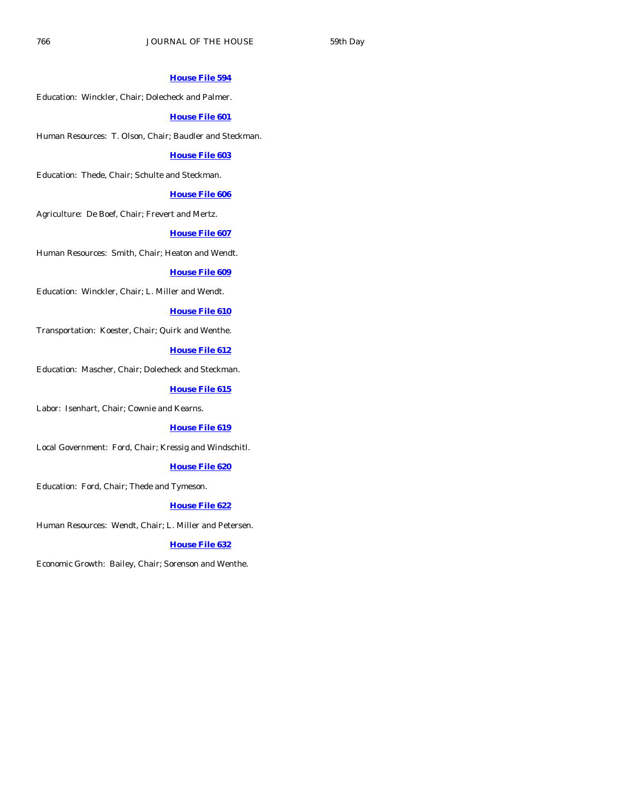#### **[House File 594](http://coolice.legis.state.ia.us/Cool-ICE/default.asp?Category=billinfo&Service=Billbook&frame=1&GA=83&hbill=HF594)**

Education: Winckler, Chair; Dolecheck and Palmer.

#### **[House File 601](http://coolice.legis.state.ia.us/Cool-ICE/default.asp?Category=billinfo&Service=Billbook&frame=1&GA=83&hbill=HF601)**

Human Resources: T. Olson, Chair; Baudler and Steckman.

#### **[House File 603](http://coolice.legis.state.ia.us/Cool-ICE/default.asp?Category=billinfo&Service=Billbook&frame=1&GA=83&hbill=HF603)**

Education: Thede, Chair; Schulte and Steckman.

#### **[House File 606](http://coolice.legis.state.ia.us/Cool-ICE/default.asp?Category=billinfo&Service=Billbook&frame=1&GA=83&hbill=HF606)**

Agriculture: De Boef, Chair; Frevert and Mertz.

#### **[House File 607](http://coolice.legis.state.ia.us/Cool-ICE/default.asp?Category=billinfo&Service=Billbook&frame=1&GA=83&hbill=HF607)**

Human Resources: Smith, Chair; Heaton and Wendt.

#### **[House File 609](http://coolice.legis.state.ia.us/Cool-ICE/default.asp?Category=billinfo&Service=Billbook&frame=1&GA=83&hbill=HF609)**

Education: Winckler, Chair; L. Miller and Wendt.

#### **[House File 610](http://coolice.legis.state.ia.us/Cool-ICE/default.asp?Category=billinfo&Service=Billbook&frame=1&GA=83&hbill=HF610)**

Transportation: Koester, Chair; Quirk and Wenthe.

#### **[House File 612](http://coolice.legis.state.ia.us/Cool-ICE/default.asp?Category=billinfo&Service=Billbook&frame=1&GA=83&hbill=HF612)**

Education: Mascher, Chair; Dolecheck and Steckman.

#### **[House File 615](http://coolice.legis.state.ia.us/Cool-ICE/default.asp?Category=billinfo&Service=Billbook&frame=1&GA=83&hbill=HF615)**

Labor: Isenhart, Chair; Cownie and Kearns.

#### **[House File 619](http://coolice.legis.state.ia.us/Cool-ICE/default.asp?Category=billinfo&Service=Billbook&frame=1&GA=83&hbill=HF619)**

Local Government: Ford, Chair; Kressig and Windschitl.

#### **[House File 620](http://coolice.legis.state.ia.us/Cool-ICE/default.asp?Category=billinfo&Service=Billbook&frame=1&GA=83&hbill=HF620)**

Education: Ford, Chair; Thede and Tymeson.

#### **[House File 622](http://coolice.legis.state.ia.us/Cool-ICE/default.asp?Category=billinfo&Service=Billbook&frame=1&GA=83&hbill=HF622)**

Human Resources: Wendt, Chair; L. Miller and Petersen.

#### **[House File 632](http://coolice.legis.state.ia.us/Cool-ICE/default.asp?Category=billinfo&Service=Billbook&frame=1&GA=83&hbill=HF632)**

Economic Growth: Bailey, Chair; Sorenson and Wenthe.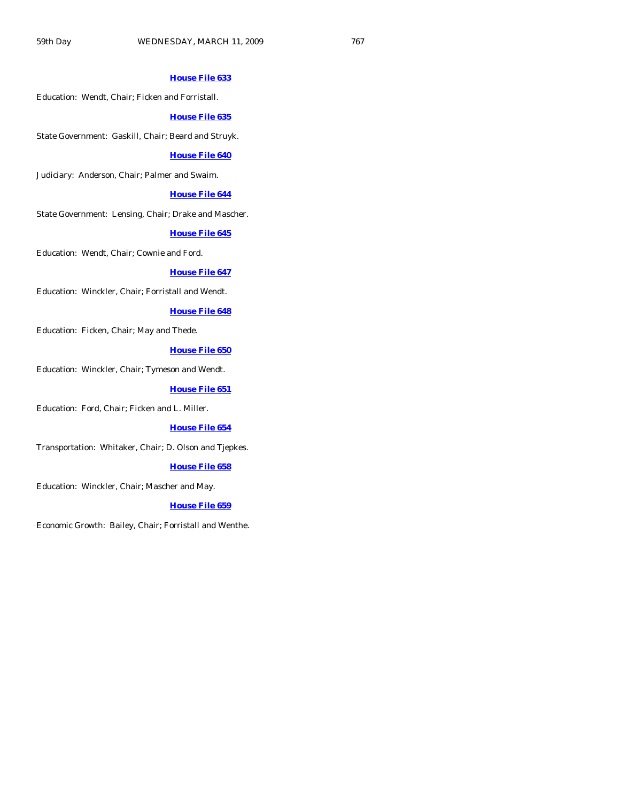#### **[House File 633](http://coolice.legis.state.ia.us/Cool-ICE/default.asp?Category=billinfo&Service=Billbook&frame=1&GA=83&hbill=HF633)**

Education: Wendt, Chair; Ficken and Forristall.

#### **[House File 635](http://coolice.legis.state.ia.us/Cool-ICE/default.asp?Category=billinfo&Service=Billbook&frame=1&GA=83&hbill=HF635)**

State Government: Gaskill, Chair; Beard and Struyk.

#### **[House File 640](http://coolice.legis.state.ia.us/Cool-ICE/default.asp?Category=billinfo&Service=Billbook&frame=1&GA=83&hbill=HF640)**

Judiciary: Anderson, Chair; Palmer and Swaim.

#### **[House File 644](http://coolice.legis.state.ia.us/Cool-ICE/default.asp?Category=billinfo&Service=Billbook&frame=1&GA=83&hbill=HF644)**

State Government: Lensing, Chair; Drake and Mascher.

#### **[House File 645](http://coolice.legis.state.ia.us/Cool-ICE/default.asp?Category=billinfo&Service=Billbook&frame=1&GA=83&hbill=HF645)**

Education: Wendt, Chair; Cownie and Ford.

#### **[House File 647](http://coolice.legis.state.ia.us/Cool-ICE/default.asp?Category=billinfo&Service=Billbook&frame=1&GA=83&hbill=HF647)**

Education: Winckler, Chair; Forristall and Wendt.

#### **[House File 648](http://coolice.legis.state.ia.us/Cool-ICE/default.asp?Category=billinfo&Service=Billbook&frame=1&GA=83&hbill=HF648)**

Education: Ficken, Chair; May and Thede.

#### **[House File 650](http://coolice.legis.state.ia.us/Cool-ICE/default.asp?Category=billinfo&Service=Billbook&frame=1&GA=83&hbill=HF650)**

Education: Winckler, Chair; Tymeson and Wendt.

#### **[House File 651](http://coolice.legis.state.ia.us/Cool-ICE/default.asp?Category=billinfo&Service=Billbook&frame=1&GA=83&hbill=HF651)**

Education: Ford, Chair; Ficken and L. Miller.

#### **[House File 654](http://coolice.legis.state.ia.us/Cool-ICE/default.asp?Category=billinfo&Service=Billbook&frame=1&GA=83&hbill=HF654)**

Transportation: Whitaker, Chair; D. Olson and Tjepkes.

#### **[House File 658](http://coolice.legis.state.ia.us/Cool-ICE/default.asp?Category=billinfo&Service=Billbook&frame=1&GA=83&hbill=HF658)**

Education: Winckler, Chair; Mascher and May.

#### **[House File 659](http://coolice.legis.state.ia.us/Cool-ICE/default.asp?Category=billinfo&Service=Billbook&frame=1&GA=83&hbill=HF659)**

Economic Growth: Bailey, Chair; Forristall and Wenthe.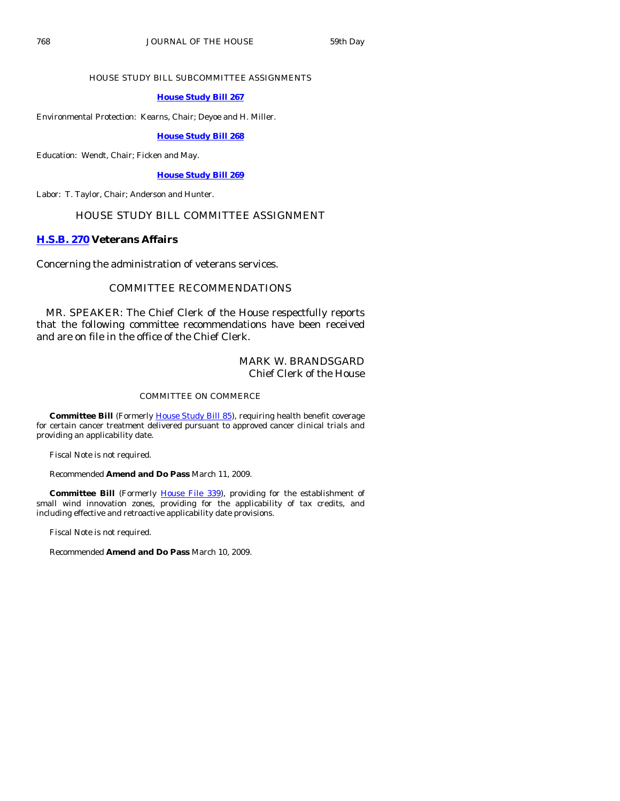#### HOUSE STUDY BILL SUBCOMMITTEE ASSIGNMENTS

#### **[House Study Bill 267](http://coolice.legis.state.ia.us/Cool-ICE/default.asp?Category=billinfo&Service=Billbook&frame=1&GA=83&hbill=HSB267)**

Environmental Protection: Kearns, Chair; Deyoe and H. Miller.

#### **[House Study Bill 268](http://coolice.legis.state.ia.us/Cool-ICE/default.asp?Category=billinfo&Service=Billbook&frame=1&GA=83&hbill=HSB268)**

Education: Wendt, Chair; Ficken and May.

#### **[House Study Bill 269](http://coolice.legis.state.ia.us/Cool-ICE/default.asp?Category=billinfo&Service=Billbook&frame=1&GA=83&hbill=HSB269)**

Labor: T. Taylor, Chair; Anderson and Hunter.

#### HOUSE STUDY BILL COMMITTEE ASSIGNMENT

#### **[H.S.B. 270](http://coolice.legis.state.ia.us/Cool-ICE/default.asp?Category=billinfo&Service=Billbook&frame=1&GA=83&hbill=HSB270) Veterans Affairs**

Concerning the administration of veterans services.

#### COMMITTEE RECOMMENDATIONS

 MR. SPEAKER: The Chief Clerk of the House respectfully reports that the following committee recommendations have been received and are on file in the office of the Chief Clerk.

## MARK W. BRANDSGARD Chief Clerk of the House

#### COMMITTEE ON COMMERCE

**Committee Bill** (Formerly [House Study Bill 85\)](http://coolice.legis.state.ia.us/Cool-ICE/default.asp?Category=billinfo&Service=Billbook&frame=1&GA=83&hbill=HSB85), requiring health benefit coverage for certain cancer treatment delivered pursuant to approved cancer clinical trials and providing an applicability date.

Fiscal Note is not required.

Recommended **Amend and Do Pass** March 11, 2009.

**Committee Bill** (Formerly [House File 339\)](http://coolice.legis.state.ia.us/Cool-ICE/default.asp?Category=billinfo&Service=Billbook&frame=1&GA=83&hbill=HF339), providing for the establishment of small wind innovation zones, providing for the applicability of tax credits, and including effective and retroactive applicability date provisions.

Fiscal Note is not required.

Recommended **Amend and Do Pass** March 10, 2009.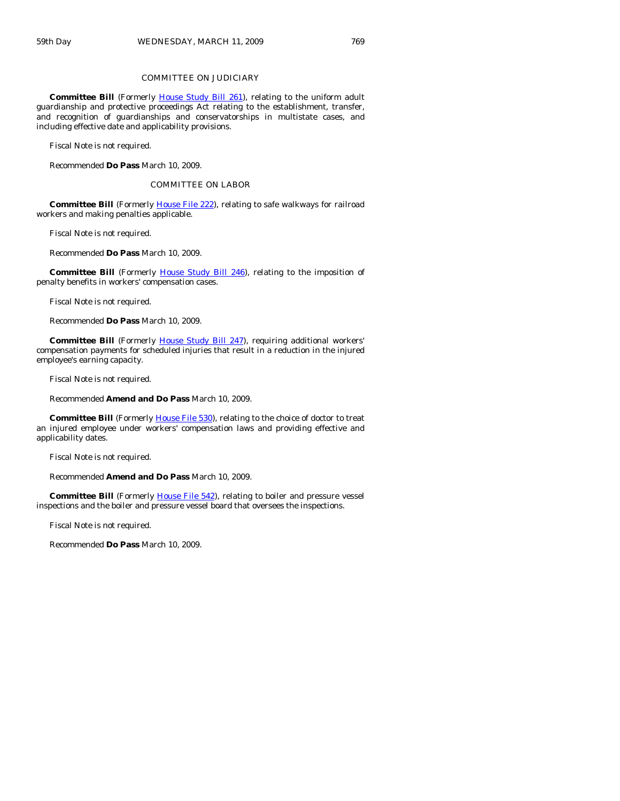#### COMMITTEE ON JUDICIARY

**Committee Bill** (Formerly *House Study Bill 261*), relating to the uniform adult guardianship and protective proceedings Act relating to the establishment, transfer, and recognition of guardianships and conservatorships in multistate cases, and including effective date and applicability provisions.

Fiscal Note is not required.

Recommended **Do Pass** March 10, 2009.

COMMITTEE ON LABOR

 **Committee Bill** (Formerly [House File 222](http://coolice.legis.state.ia.us/Cool-ICE/default.asp?Category=billinfo&Service=Billbook&frame=1&GA=83&hbill=HF222)), relating to safe walkways for railroad workers and making penalties applicable.

Fiscal Note is not required.

Recommended **Do Pass** March 10, 2009.

**Committee Bill** (Formerly [House Study Bill 246\)](http://coolice.legis.state.ia.us/Cool-ICE/default.asp?Category=billinfo&Service=Billbook&frame=1&GA=83&hbill=HSB246), relating to the imposition of penalty benefits in workers' compensation cases.

Fiscal Note is not required.

Recommended **Do Pass** March 10, 2009.

**Committee Bill** (Formerly [House Study Bill 247](http://coolice.legis.state.ia.us/Cool-ICE/default.asp?Category=billinfo&Service=Billbook&frame=1&GA=83&hbill=HSB247)), requiring additional workers' compensation payments for scheduled injuries that result in a reduction in the injured employee's earning capacity.

Fiscal Note is not required.

Recommended **Amend and Do Pass** March 10, 2009.

**Committee Bill** (Formerly **House File 530**), relating to the choice of doctor to treat an injured employee under workers' compensation laws and providing effective and applicability dates.

Fiscal Note is not required.

Recommended **Amend and Do Pass** March 10, 2009.

**Committee Bill** (Formerly [House File 542\)](http://coolice.legis.state.ia.us/Cool-ICE/default.asp?Category=billinfo&Service=Billbook&frame=1&GA=83&hbill=HF542), relating to boiler and pressure vessel inspections and the boiler and pressure vessel board that oversees the inspections.

Fiscal Note is not required.

Recommended **Do Pass** March 10, 2009.